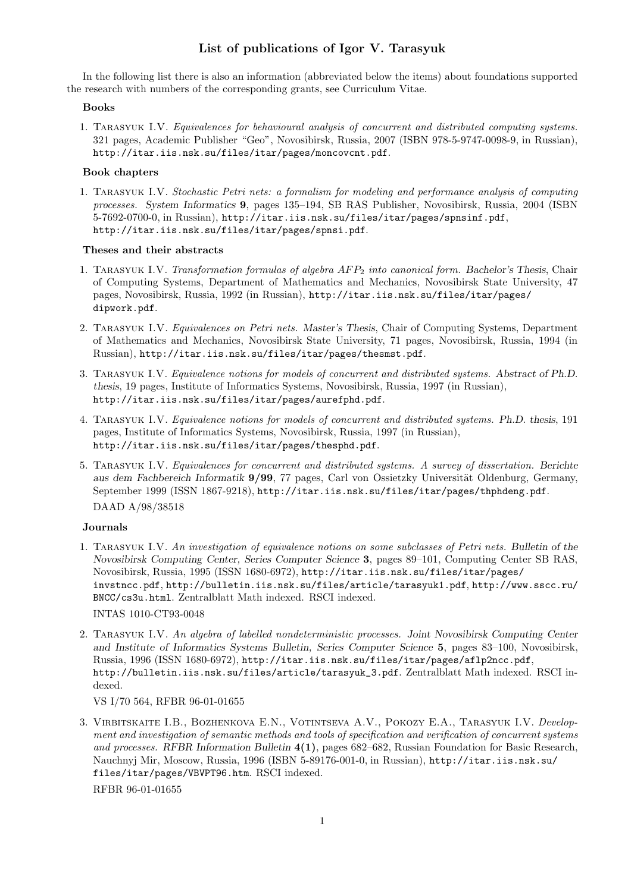# List of publications of Igor V. Tarasyuk

In the following list there is also an information (abbreviated below the items) about foundations supported the research with numbers of the corresponding grants, see Curriculum Vitae.

#### Books

1. Tarasyuk I.V. *Equivalences for behavioural analysis of concurrent and distributed computing systems.* 321 pages, Academic Publisher "Geo", Novosibirsk, Russia, 2007 (ISBN 978-5-9747-0098-9, in Russian), http://itar.iis.nsk.su/files/itar/pages/moncovcnt.pdf.

#### Book chapters

1. Tarasyuk I.V. *Stochastic Petri nets: a formalism for modeling and performance analysis of computing processes. System Informatics* 9, pages 135–194, SB RAS Publisher, Novosibirsk, Russia, 2004 (ISBN 5-7692-0700-0, in Russian), http://itar.iis.nsk.su/files/itar/pages/spnsinf.pdf, http://itar.iis.nsk.su/files/itar/pages/spnsi.pdf.

#### Theses and their abstracts

- 1. Tarasyuk I.V. *Transformation formulas of algebra* AF P<sup>2</sup> *into canonical form. Bachelor's Thesis*, Chair of Computing Systems, Department of Mathematics and Mechanics, Novosibirsk State University, 47 pages, Novosibirsk, Russia, 1992 (in Russian), http://itar.iis.nsk.su/files/itar/pages/ dipwork.pdf.
- 2. Tarasyuk I.V. *Equivalences on Petri nets. Master's Thesis*, Chair of Computing Systems, Department of Mathematics and Mechanics, Novosibirsk State University, 71 pages, Novosibirsk, Russia, 1994 (in Russian), http://itar.iis.nsk.su/files/itar/pages/thesmst.pdf.
- 3. Tarasyuk I.V. *Equivalence notions for models of concurrent and distributed systems. Abstract of Ph.D. thesis*, 19 pages, Institute of Informatics Systems, Novosibirsk, Russia, 1997 (in Russian), http://itar.iis.nsk.su/files/itar/pages/aurefphd.pdf.
- 4. Tarasyuk I.V. *Equivalence notions for models of concurrent and distributed systems. Ph.D. thesis*, 191 pages, Institute of Informatics Systems, Novosibirsk, Russia, 1997 (in Russian), http://itar.iis.nsk.su/files/itar/pages/thesphd.pdf.
- 5. Tarasyuk I.V. *Equivalences for concurrent and distributed systems. A survey of dissertation. Berichte* aus dem Fachbereich Informatik 9/99, 77 pages, Carl von Ossietzky Universität Oldenburg, Germany, September 1999 (ISSN 1867-9218), http://itar.iis.nsk.su/files/itar/pages/thphdeng.pdf. DAAD A/98/38518

## Journals

1. Tarasyuk I.V. *An investigation of equivalence notions on some subclasses of Petri nets. Bulletin of the Novosibirsk Computing Center, Series Computer Science* 3, pages 89–101, Computing Center SB RAS, Novosibirsk, Russia, 1995 (ISSN 1680-6972), http://itar.iis.nsk.su/files/itar/pages/ invstncc.pdf, http://bulletin.iis.nsk.su/files/article/tarasyuk1.pdf, http://www.sscc.ru/ BNCC/cs3u.html. Zentralblatt Math indexed. RSCI indexed.

INTAS 1010-CT93-0048

2. Tarasyuk I.V. *An algebra of labelled nondeterministic processes. Joint Novosibirsk Computing Center and Institute of Informatics Systems Bulletin, Series Computer Science* 5, pages 83–100, Novosibirsk, Russia, 1996 (ISSN 1680-6972), http://itar.iis.nsk.su/files/itar/pages/aflp2ncc.pdf, http://bulletin.iis.nsk.su/files/article/tarasyuk\_3.pdf. Zentralblatt Math indexed. RSCI indexed.

# VS I/70 564, RFBR 96-01-01655

3. Virbitskaite I.B., Bozhenkova E.N., Votintseva A.V., Pokozy E.A., Tarasyuk I.V. *Development and investigation of semantic methods and tools of specification and verification of concurrent systems and processes. RFBR Information Bulletin* 4(1), pages 682–682, Russian Foundation for Basic Research, Nauchnyj Mir, Moscow, Russia, 1996 (ISBN 5-89176-001-0, in Russian), http://itar.iis.nsk.su/ files/itar/pages/VBVPT96.htm. RSCI indexed.

RFBR 96-01-01655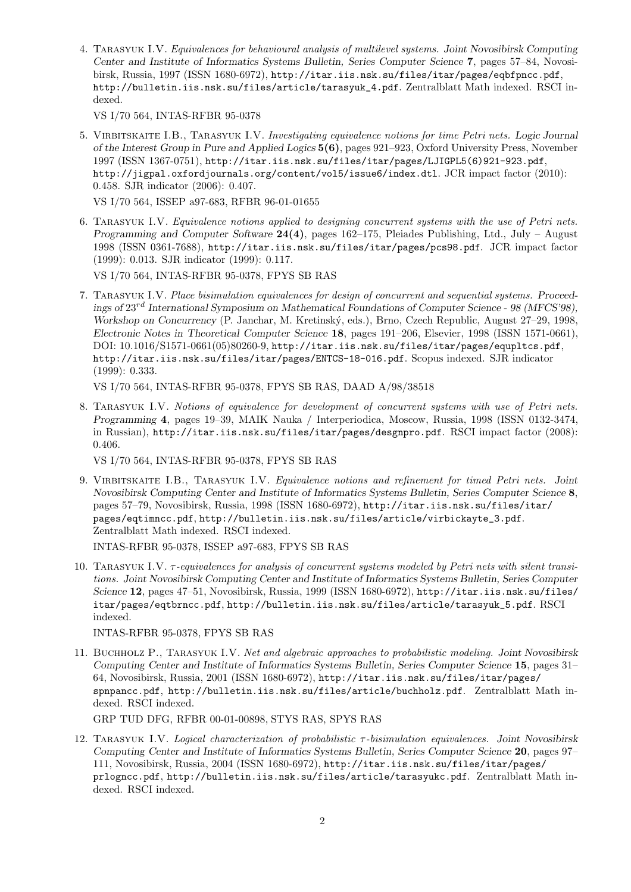4. Tarasyuk I.V. *Equivalences for behavioural analysis of multilevel systems. Joint Novosibirsk Computing Center and Institute of Informatics Systems Bulletin, Series Computer Science* 7, pages 57–84, Novosibirsk, Russia, 1997 (ISSN 1680-6972), http://itar.iis.nsk.su/files/itar/pages/eqbfpncc.pdf, http://bulletin.iis.nsk.su/files/article/tarasyuk\_4.pdf. Zentralblatt Math indexed. RSCI indexed.

VS I/70 564, INTAS-RFBR 95-0378

5. Virbitskaite I.B., Tarasyuk I.V. *Investigating equivalence notions for time Petri nets. Logic Journal of the Interest Group in Pure and Applied Logics* 5(6), pages 921–923, Oxford University Press, November 1997 (ISSN 1367-0751), http://itar.iis.nsk.su/files/itar/pages/LJIGPL5(6)921-923.pdf, http://jigpal.oxfordjournals.org/content/vol5/issue6/index.dtl. JCR impact factor (2010): 0.458. SJR indicator (2006): 0.407.

VS I/70 564, ISSEP a97-683, RFBR 96-01-01655

6. Tarasyuk I.V. *Equivalence notions applied to designing concurrent systems with the use of Petri nets. Programming and Computer Software* 24(4), pages 162–175, Pleiades Publishing, Ltd., July – August 1998 (ISSN 0361-7688), http://itar.iis.nsk.su/files/itar/pages/pcs98.pdf. JCR impact factor (1999): 0.013. SJR indicator (1999): 0.117.

VS I/70 564, INTAS-RFBR 95-0378, FPYS SB RAS

7. Tarasyuk I.V. *Place bisimulation equivalences for design of concurrent and sequential systems. Proceedings of* 23rd *International Symposium on Mathematical Foundations of Computer Science - 98 (MFCS'98), Workshop on Concurrency* (P. Janchar, M. Kretinsk´y, eds.), Brno, Czech Republic, August 27–29, 1998, *Electronic Notes in Theoretical Computer Science* 18, pages 191–206, Elsevier, 1998 (ISSN 1571-0661), DOI: 10.1016/S1571-0661(05)80260-9, http://itar.iis.nsk.su/files/itar/pages/equpltcs.pdf, http://itar.iis.nsk.su/files/itar/pages/ENTCS-18-016.pdf. Scopus indexed. SJR indicator (1999): 0.333.

VS I/70 564, INTAS-RFBR 95-0378, FPYS SB RAS, DAAD A/98/38518

8. Tarasyuk I.V. *Notions of equivalence for development of concurrent systems with use of Petri nets. Programming* 4, pages 19–39, MAIK Nauka / Interperiodica, Moscow, Russia, 1998 (ISSN 0132-3474, in Russian), http://itar.iis.nsk.su/files/itar/pages/desgnpro.pdf. RSCI impact factor (2008): 0.406.

VS I/70 564, INTAS-RFBR 95-0378, FPYS SB RAS

9. Virbitskaite I.B., Tarasyuk I.V. *Equivalence notions and refinement for timed Petri nets. Joint Novosibirsk Computing Center and Institute of Informatics Systems Bulletin, Series Computer Science* 8, pages 57–79, Novosibirsk, Russia, 1998 (ISSN 1680-6972), http://itar.iis.nsk.su/files/itar/ pages/eqtimncc.pdf, http://bulletin.iis.nsk.su/files/article/virbickayte\_3.pdf. Zentralblatt Math indexed. RSCI indexed.

INTAS-RFBR 95-0378, ISSEP a97-683, FPYS SB RAS

10. Tarasyuk I.V. τ*-equivalences for analysis of concurrent systems modeled by Petri nets with silent transitions. Joint Novosibirsk Computing Center and Institute of Informatics Systems Bulletin, Series Computer Science* 12, pages 47–51, Novosibirsk, Russia, 1999 (ISSN 1680-6972), http://itar.iis.nsk.su/files/ itar/pages/eqtbrncc.pdf, http://bulletin.iis.nsk.su/files/article/tarasyuk\_5.pdf. RSCI indexed.

INTAS-RFBR 95-0378, FPYS SB RAS

11. Buchholz P., Tarasyuk I.V. *Net and algebraic approaches to probabilistic modeling. Joint Novosibirsk Computing Center and Institute of Informatics Systems Bulletin, Series Computer Science* 15, pages 31– 64, Novosibirsk, Russia, 2001 (ISSN 1680-6972), http://itar.iis.nsk.su/files/itar/pages/ spnpancc.pdf, http://bulletin.iis.nsk.su/files/article/buchholz.pdf. Zentralblatt Math indexed. RSCI indexed.

GRP TUD DFG, RFBR 00-01-00898, STYS RAS, SPYS RAS

12. Tarasyuk I.V. *Logical characterization of probabilistic* τ*-bisimulation equivalences. Joint Novosibirsk Computing Center and Institute of Informatics Systems Bulletin, Series Computer Science* 20, pages 97– 111, Novosibirsk, Russia, 2004 (ISSN 1680-6972), http://itar.iis.nsk.su/files/itar/pages/ prlogncc.pdf, http://bulletin.iis.nsk.su/files/article/tarasyukc.pdf. Zentralblatt Math indexed. RSCI indexed.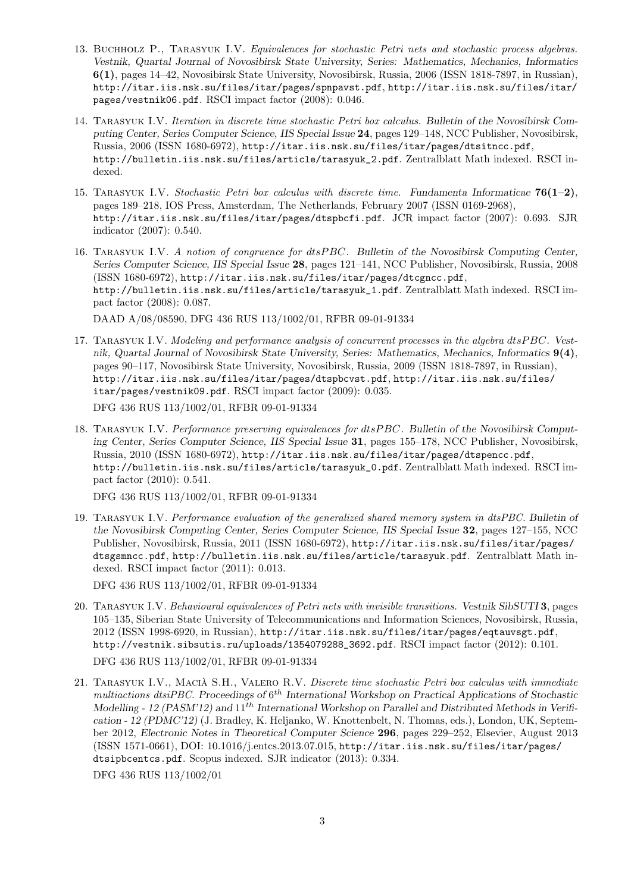- 13. Buchholz P., Tarasyuk I.V. *Equivalences for stochastic Petri nets and stochastic process algebras. Vestnik, Quartal Journal of Novosibirsk State University, Series: Mathematics, Mechanics, Informatics* 6(1), pages 14–42, Novosibirsk State University, Novosibirsk, Russia, 2006 (ISSN 1818-7897, in Russian), http://itar.iis.nsk.su/files/itar/pages/spnpavst.pdf, http://itar.iis.nsk.su/files/itar/ pages/vestnik06.pdf. RSCI impact factor (2008): 0.046.
- 14. Tarasyuk I.V. *Iteration in discrete time stochastic Petri box calculus. Bulletin of the Novosibirsk Computing Center, Series Computer Science, IIS Special Issue* 24, pages 129–148, NCC Publisher, Novosibirsk, Russia, 2006 (ISSN 1680-6972), http://itar.iis.nsk.su/files/itar/pages/dtsitncc.pdf, http://bulletin.iis.nsk.su/files/article/tarasyuk\_2.pdf. Zentralblatt Math indexed. RSCI indexed.
- 15. Tarasyuk I.V. *Stochastic Petri box calculus with discrete time. Fundamenta Informaticae* 76(1–2), pages 189–218, IOS Press, Amsterdam, The Netherlands, February 2007 (ISSN 0169-2968), http://itar.iis.nsk.su/files/itar/pages/dtspbcfi.pdf. JCR impact factor (2007): 0.693. SJR indicator (2007): 0.540.
- 16. Tarasyuk I.V. *A notion of congruence for* dtsP BC*. Bulletin of the Novosibirsk Computing Center, Series Computer Science, IIS Special Issue* 28, pages 121–141, NCC Publisher, Novosibirsk, Russia, 2008 (ISSN 1680-6972), http://itar.iis.nsk.su/files/itar/pages/dtcgncc.pdf, http://bulletin.iis.nsk.su/files/article/tarasyuk\_1.pdf. Zentralblatt Math indexed. RSCI impact factor (2008): 0.087.

DAAD A/08/08590, DFG 436 RUS 113/1002/01, RFBR 09-01-91334

- 17. Tarasyuk I.V. *Modeling and performance analysis of concurrent processes in the algebra* dtsP BC*. Vestnik, Quartal Journal of Novosibirsk State University, Series: Mathematics, Mechanics, Informatics* 9(4), pages 90–117, Novosibirsk State University, Novosibirsk, Russia, 2009 (ISSN 1818-7897, in Russian), http://itar.iis.nsk.su/files/itar/pages/dtspbcvst.pdf, http://itar.iis.nsk.su/files/ itar/pages/vestnik09.pdf. RSCI impact factor (2009): 0.035. DFG 436 RUS 113/1002/01, RFBR 09-01-91334
- 18. Tarasyuk I.V. *Performance preserving equivalences for* dtsP BC*. Bulletin of the Novosibirsk Computing Center, Series Computer Science, IIS Special Issue* 31, pages 155–178, NCC Publisher, Novosibirsk, Russia, 2010 (ISSN 1680-6972), http://itar.iis.nsk.su/files/itar/pages/dtspencc.pdf, http://bulletin.iis.nsk.su/files/article/tarasyuk\_0.pdf. Zentralblatt Math indexed. RSCI impact factor (2010): 0.541.

DFG 436 RUS 113/1002/01, RFBR 09-01-91334

19. Tarasyuk I.V. *Performance evaluation of the generalized shared memory system in dtsPBC. Bulletin of the Novosibirsk Computing Center, Series Computer Science, IIS Special Issue* 32, pages 127–155, NCC Publisher, Novosibirsk, Russia, 2011 (ISSN 1680-6972), http://itar.iis.nsk.su/files/itar/pages/ dtsgsmncc.pdf, http://bulletin.iis.nsk.su/files/article/tarasyuk.pdf. Zentralblatt Math indexed. RSCI impact factor (2011): 0.013.

DFG 436 RUS 113/1002/01, RFBR 09-01-91334

- 20. Tarasyuk I.V. *Behavioural equivalences of Petri nets with invisible transitions. Vestnik SibSUTI* 3, pages 105–135, Siberian State University of Telecommunications and Information Sciences, Novosibirsk, Russia, 2012 (ISSN 1998-6920, in Russian), http://itar.iis.nsk.su/files/itar/pages/eqtauvsgt.pdf, http://vestnik.sibsutis.ru/uploads/1354079288\_3692.pdf. RSCI impact factor (2012): 0.101. DFG 436 RUS 113/1002/01, RFBR 09-01-91334
- 21. Tarasyuk I.V., Macia S.H., Valero R.V. ` *Discrete time stochastic Petri box calculus with immediate* multiactions dtsiPBC. Proceedings of  $6^{th}$  International Workshop on Practical Applications of Stochastic Modelling - 12 (PASM'12) and  $11^{th}$  International Workshop on Parallel and Distributed Methods in Verifi*cation - 12 (PDMC'12)* (J. Bradley, K. Heljanko, W. Knottenbelt, N. Thomas, eds.), London, UK, September 2012, *Electronic Notes in Theoretical Computer Science* 296, pages 229–252, Elsevier, August 2013 (ISSN 1571-0661), DOI: 10.1016/j.entcs.2013.07.015, http://itar.iis.nsk.su/files/itar/pages/ dtsipbcentcs.pdf. Scopus indexed. SJR indicator (2013): 0.334. DFG 436 RUS 113/1002/01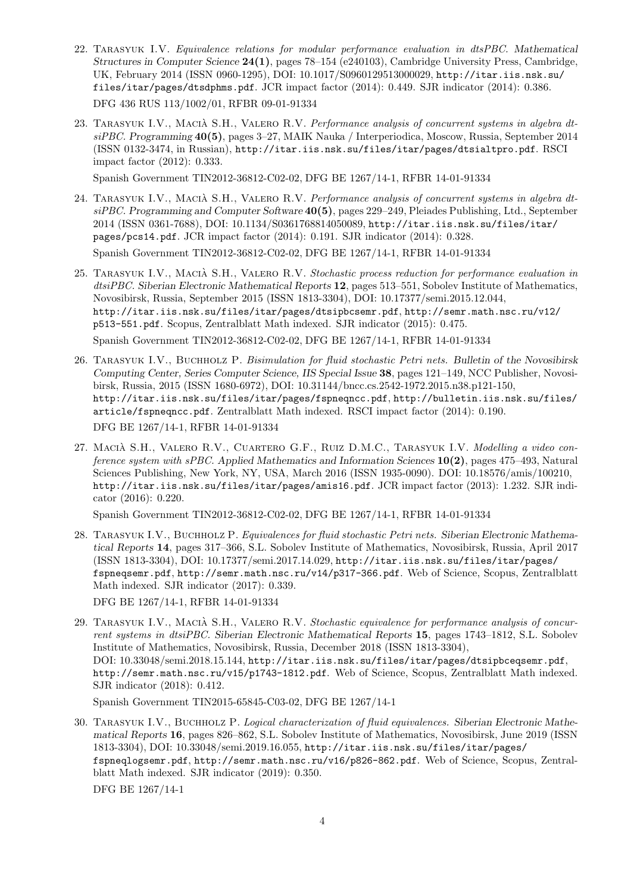- 22. Tarasyuk I.V. *Equivalence relations for modular performance evaluation in dtsPBC. Mathematical Structures in Computer Science* 24(1), pages 78–154 (e240103), Cambridge University Press, Cambridge, UK, February 2014 (ISSN 0960-1295), DOI: 10.1017/S0960129513000029, http://itar.iis.nsk.su/ files/itar/pages/dtsdphms.pdf. JCR impact factor (2014): 0.449. SJR indicator (2014): 0.386. DFG 436 RUS 113/1002/01, RFBR 09-01-91334
- 23. TARASYUK I.V., MACIÀ S.H., VALERO R.V. Performance analysis of concurrent systems in algebra dt*siPBC. Programming* 40(5), pages 3–27, MAIK Nauka / Interperiodica, Moscow, Russia, September 2014 (ISSN 0132-3474, in Russian), http://itar.iis.nsk.su/files/itar/pages/dtsialtpro.pdf. RSCI impact factor (2012): 0.333.

Spanish Government TIN2012-36812-C02-02, DFG BE 1267/14-1, RFBR 14-01-91334

- 24. Tarasyuk I.V., Macia S.H., Valero R.V. ` *Performance analysis of concurrent systems in algebra dtsiPBC. Programming and Computer Software* 40(5), pages 229–249, Pleiades Publishing, Ltd., September 2014 (ISSN 0361-7688), DOI: 10.1134/S0361768814050089, http://itar.iis.nsk.su/files/itar/ pages/pcs14.pdf. JCR impact factor (2014): 0.191. SJR indicator (2014): 0.328. Spanish Government TIN2012-36812-C02-02, DFG BE 1267/14-1, RFBR 14-01-91334
- 25. Tarasyuk I.V., Macia S.H., Valero R.V. ` *Stochastic process reduction for performance evaluation in dtsiPBC. Siberian Electronic Mathematical Reports* 12, pages 513–551, Sobolev Institute of Mathematics, Novosibirsk, Russia, September 2015 (ISSN 1813-3304), DOI: 10.17377/semi.2015.12.044, http://itar.iis.nsk.su/files/itar/pages/dtsipbcsemr.pdf, http://semr.math.nsc.ru/v12/ p513-551.pdf. Scopus, Zentralblatt Math indexed. SJR indicator (2015): 0.475. Spanish Government TIN2012-36812-C02-02, DFG BE 1267/14-1, RFBR 14-01-91334
- 26. Tarasyuk I.V., Buchholz P. *Bisimulation for fluid stochastic Petri nets. Bulletin of the Novosibirsk Computing Center, Series Computer Science, IIS Special Issue* 38, pages 121–149, NCC Publisher, Novosibirsk, Russia, 2015 (ISSN 1680-6972), DOI: 10.31144/bncc.cs.2542-1972.2015.n38.p121-150, http://itar.iis.nsk.su/files/itar/pages/fspneqncc.pdf, http://bulletin.iis.nsk.su/files/ article/fspneqncc.pdf. Zentralblatt Math indexed. RSCI impact factor (2014): 0.190. DFG BE 1267/14-1, RFBR 14-01-91334
- 27. MACIÀ S.H., VALERO R.V., CUARTERO G.F., RUIZ D.M.C., TARASYUK I.V. Modelling a video con*ference system with sPBC. Applied Mathematics and Information Sciences* 10(2), pages 475–493, Natural Sciences Publishing, New York, NY, USA, March 2016 (ISSN 1935-0090). DOI: 10.18576/amis/100210, http://itar.iis.nsk.su/files/itar/pages/amis16.pdf. JCR impact factor (2013): 1.232. SJR indicator (2016): 0.220.

Spanish Government TIN2012-36812-C02-02, DFG BE 1267/14-1, RFBR 14-01-91334

28. Tarasyuk I.V., Buchholz P. *Equivalences for fluid stochastic Petri nets. Siberian Electronic Mathematical Reports* 14, pages 317–366, S.L. Sobolev Institute of Mathematics, Novosibirsk, Russia, April 2017 (ISSN 1813-3304), DOI: 10.17377/semi.2017.14.029, http://itar.iis.nsk.su/files/itar/pages/ fspneqsemr.pdf, http://semr.math.nsc.ru/v14/p317-366.pdf. Web of Science, Scopus, Zentralblatt Math indexed. SJR indicator (2017): 0.339.

DFG BE 1267/14-1, RFBR 14-01-91334

29. Tarasyuk I.V., Macia S.H., Valero R.V. ` *Stochastic equivalence for performance analysis of concurrent systems in dtsiPBC. Siberian Electronic Mathematical Reports* 15, pages 1743–1812, S.L. Sobolev Institute of Mathematics, Novosibirsk, Russia, December 2018 (ISSN 1813-3304), DOI: 10.33048/semi.2018.15.144, http://itar.iis.nsk.su/files/itar/pages/dtsipbceqsemr.pdf, http://semr.math.nsc.ru/v15/p1743-1812.pdf. Web of Science, Scopus, Zentralblatt Math indexed. SJR indicator (2018): 0.412.

Spanish Government TIN2015-65845-C03-02, DFG BE 1267/14-1

30. Tarasyuk I.V., Buchholz P. *Logical characterization of fluid equivalences. Siberian Electronic Mathematical Reports* 16, pages 826–862, S.L. Sobolev Institute of Mathematics, Novosibirsk, June 2019 (ISSN 1813-3304), DOI: 10.33048/semi.2019.16.055, http://itar.iis.nsk.su/files/itar/pages/ fspneqlogsemr.pdf, http://semr.math.nsc.ru/v16/p826-862.pdf. Web of Science, Scopus, Zentralblatt Math indexed. SJR indicator (2019): 0.350. DFG BE 1267/14-1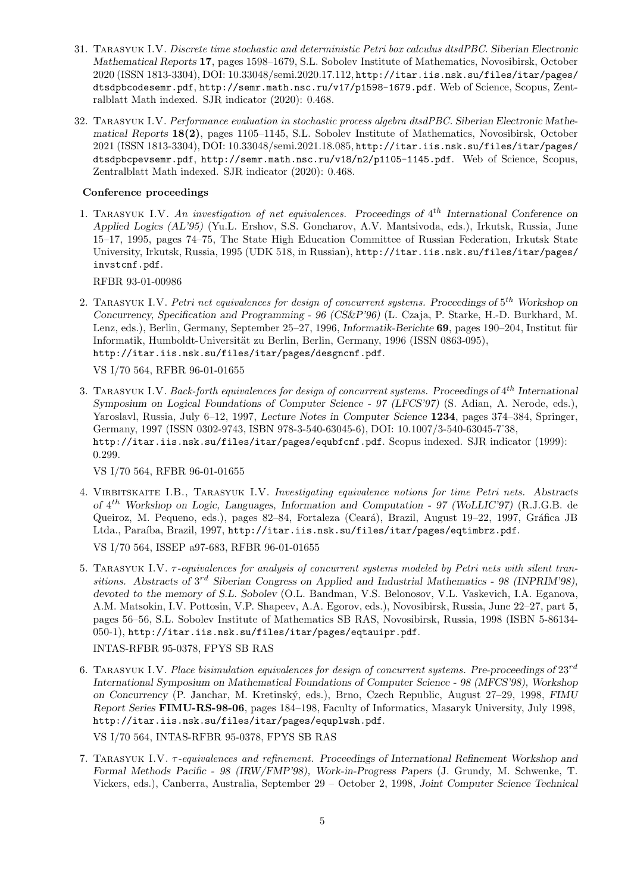- 31. Tarasyuk I.V. *Discrete time stochastic and deterministic Petri box calculus dtsdPBC. Siberian Electronic Mathematical Reports* 17, pages 1598–1679, S.L. Sobolev Institute of Mathematics, Novosibirsk, October 2020 (ISSN 1813-3304), DOI: 10.33048/semi.2020.17.112, http://itar.iis.nsk.su/files/itar/pages/ dtsdpbcodesemr.pdf, http://semr.math.nsc.ru/v17/p1598-1679.pdf. Web of Science, Scopus, Zentralblatt Math indexed. SJR indicator (2020): 0.468.
- 32. Tarasyuk I.V. *Performance evaluation in stochastic process algebra dtsdPBC. Siberian Electronic Mathematical Reports* 18(2), pages 1105–1145, S.L. Sobolev Institute of Mathematics, Novosibirsk, October 2021 (ISSN 1813-3304), DOI: 10.33048/semi.2021.18.085, http://itar.iis.nsk.su/files/itar/pages/ dtsdpbcpevsemr.pdf, http://semr.math.nsc.ru/v18/n2/p1105-1145.pdf. Web of Science, Scopus, Zentralblatt Math indexed. SJR indicator (2020): 0.468.

## Conference proceedings

1. Tarasyuk I.V. *An investigation of net equivalences. Proceedings of* 4 th *International Conference on Applied Logics (AL'95)* (Yu.L. Ershov, S.S. Goncharov, A.V. Mantsivoda, eds.), Irkutsk, Russia, June 15–17, 1995, pages 74–75, The State High Education Committee of Russian Federation, Irkutsk State University, Irkutsk, Russia, 1995 (UDK 518, in Russian), http://itar.iis.nsk.su/files/itar/pages/ invstcnf.pdf.

RFBR 93-01-00986

2. Tarasyuk I.V. *Petri net equivalences for design of concurrent systems. Proceedings of* 5 th *Workshop on Concurrency, Specification and Programming - 96 (CS&P'96)* (L. Czaja, P. Starke, H.-D. Burkhard, M. Lenz, eds.), Berlin, Germany, September 25–27, 1996, *Informatik-Berichte* 69, pages 190–204, Institut für Informatik, Humboldt-Universität zu Berlin, Berlin, Germany, 1996 (ISSN 0863-095), http://itar.iis.nsk.su/files/itar/pages/desgncnf.pdf.

VS I/70 564, RFBR 96-01-01655

3. Tarasyuk I.V. *Back-forth equivalences for design of concurrent systems. Proceedings of* 4 th *International Symposium on Logical Foundations of Computer Science - 97 (LFCS'97)* (S. Adian, A. Nerode, eds.), Yaroslavl, Russia, July 6–12, 1997, *Lecture Notes in Computer Science* 1234, pages 374–384, Springer, Germany, 1997 (ISSN 0302-9743, ISBN 978-3-540-63045-6), DOI: 10.1007/3-540-63045-7˙38, http://itar.iis.nsk.su/files/itar/pages/equbfcnf.pdf. Scopus indexed. SJR indicator (1999): 0.299.

VS I/70 564, RFBR 96-01-01655

4. Virbitskaite I.B., Tarasyuk I.V. *Investigating equivalence notions for time Petri nets. Abstracts of* 4 th *Workshop on Logic, Languages, Information and Computation - 97 (WoLLIC'97)* (R.J.G.B. de Queiroz, M. Pequeno, eds.), pages 82–84, Fortaleza (Ceará), Brazil, August 19–22, 1997, Gráfica JB Ltda., Paraíba, Brazil, 1997, http://itar.iis.nsk.su/files/itar/pages/eqtimbrz.pdf.

VS I/70 564, ISSEP a97-683, RFBR 96-01-01655

5. Tarasyuk I.V. τ*-equivalences for analysis of concurrent systems modeled by Petri nets with silent tran*sitions. Abstracts of 3<sup>rd</sup> Siberian Congress on Applied and Industrial Mathematics - 98 (INPRIM'98), *devoted to the memory of S.L. Sobolev* (O.L. Bandman, V.S. Belonosov, V.L. Vaskevich, I.A. Eganova, A.M. Matsokin, I.V. Pottosin, V.P. Shapeev, A.A. Egorov, eds.), Novosibirsk, Russia, June 22–27, part 5, pages 56–56, S.L. Sobolev Institute of Mathematics SB RAS, Novosibirsk, Russia, 1998 (ISBN 5-86134- 050-1), http://itar.iis.nsk.su/files/itar/pages/eqtauipr.pdf.

INTAS-RFBR 95-0378, FPYS SB RAS

6. Tarasyuk I.V. *Place bisimulation equivalences for design of concurrent systems. Pre-proceedings of* 23rd *International Symposium on Mathematical Foundations of Computer Science - 98 (MFCS'98), Workshop on Concurrency* (P. Janchar, M. Kretinsk´y, eds.), Brno, Czech Republic, August 27–29, 1998, *FIMU Report Series* FIMU-RS-98-06, pages 184–198, Faculty of Informatics, Masaryk University, July 1998, http://itar.iis.nsk.su/files/itar/pages/equplwsh.pdf.

VS I/70 564, INTAS-RFBR 95-0378, FPYS SB RAS

7. Tarasyuk I.V. τ*-equivalences and refinement. Proceedings of International Refinement Workshop and Formal Methods Pacific - 98 (IRW/FMP'98), Work-in-Progress Papers* (J. Grundy, M. Schwenke, T. Vickers, eds.), Canberra, Australia, September 29 – October 2, 1998, *Joint Computer Science Technical*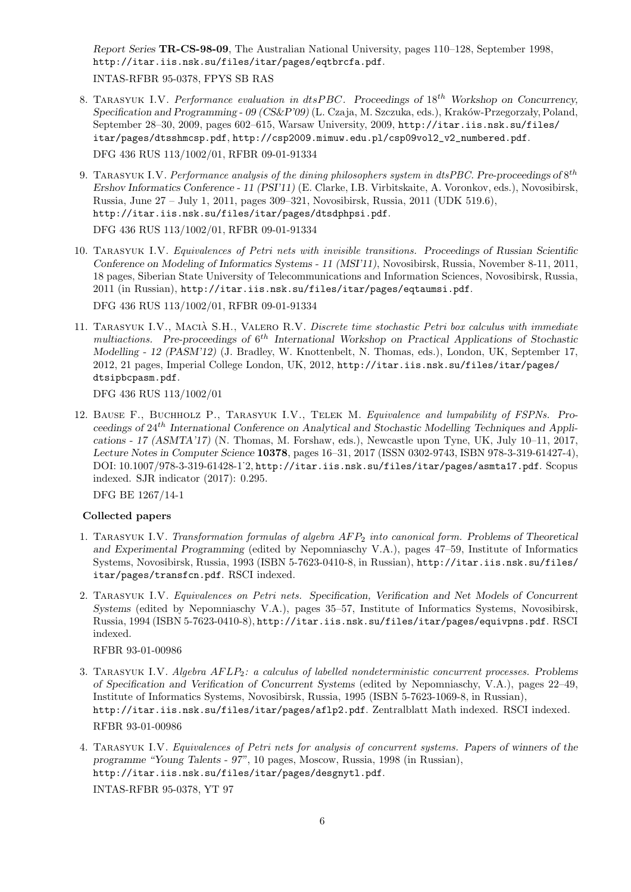*Report Series* TR-CS-98-09, The Australian National University, pages 110–128, September 1998, http://itar.iis.nsk.su/files/itar/pages/eqtbrcfa.pdf. INTAS-RFBR 95-0378, FPYS SB RAS

- 8. Tarasyuk I.V. *Performance evaluation in* dtsP BC*. Proceedings of* 18th *Workshop on Concurrency, Specification and Programming - 09 (CS&P'09)* (L. Czaja, M. Szczuka, eds.), Kraków-Przegorzały, Poland, September 28–30, 2009, pages 602–615, Warsaw University, 2009, http://itar.iis.nsk.su/files/ itar/pages/dtsshmcsp.pdf, http://csp2009.mimuw.edu.pl/csp09vol2\_v2\_numbered.pdf. DFG 436 RUS 113/1002/01, RFBR 09-01-91334
- 9. TARASYUK I.V. *Performance analysis of the dining philosophers system in dtsPBC. Pre-proceedings of*  $8^{th}$ *Ershov Informatics Conference - 11 (PSI'11)* (E. Clarke, I.B. Virbitskaite, A. Voronkov, eds.), Novosibirsk, Russia, June 27 – July 1, 2011, pages 309–321, Novosibirsk, Russia, 2011 (UDK 519.6), http://itar.iis.nsk.su/files/itar/pages/dtsdphpsi.pdf. DFG 436 RUS 113/1002/01, RFBR 09-01-91334

10. Tarasyuk I.V. *Equivalences of Petri nets with invisible transitions. Proceedings of Russian Scientific Conference on Modeling of Informatics Systems - 11 (MSI'11)*, Novosibirsk, Russia, November 8-11, 2011, 18 pages, Siberian State University of Telecommunications and Information Sciences, Novosibirsk, Russia, 2011 (in Russian), http://itar.iis.nsk.su/files/itar/pages/eqtaumsi.pdf.

DFG 436 RUS 113/1002/01, RFBR 09-01-91334

11. TARASYUK I.V., MACIÀ S.H., VALERO R.V. *Discrete time stochastic Petri box calculus with immediate* multiactions. Pre-proceedings of  $6^{th}$  International Workshop on Practical Applications of Stochastic *Modelling - 12 (PASM'12)* (J. Bradley, W. Knottenbelt, N. Thomas, eds.), London, UK, September 17, 2012, 21 pages, Imperial College London, UK, 2012, http://itar.iis.nsk.su/files/itar/pages/ dtsipbcpasm.pdf.

DFG 436 RUS 113/1002/01

12. Bause F., Buchholz P., Tarasyuk I.V., Telek M. *Equivalence and lumpability of FSPNs. Proceedings of* 24th *International Conference on Analytical and Stochastic Modelling Techniques and Applications - 17 (ASMTA'17)* (N. Thomas, M. Forshaw, eds.), Newcastle upon Tyne, UK, July 10–11, 2017, *Lecture Notes in Computer Science* 10378, pages 16–31, 2017 (ISSN 0302-9743, ISBN 978-3-319-61427-4), DOI: 10.1007/978-3-319-61428-1˙2, http://itar.iis.nsk.su/files/itar/pages/asmta17.pdf. Scopus indexed. SJR indicator (2017): 0.295.

DFG BE 1267/14-1

## Collected papers

- 1. Tarasyuk I.V. *Transformation formulas of algebra* AF P<sup>2</sup> *into canonical form. Problems of Theoretical and Experimental Programming* (edited by Nepomniaschy V.A.), pages 47–59, Institute of Informatics Systems, Novosibirsk, Russia, 1993 (ISBN 5-7623-0410-8, in Russian), http://itar.iis.nsk.su/files/ itar/pages/transfcn.pdf. RSCI indexed.
- 2. Tarasyuk I.V. *Equivalences on Petri nets. Specification, Verification and Net Models of Concurrent Systems* (edited by Nepomniaschy V.A.), pages 35–57, Institute of Informatics Systems, Novosibirsk, Russia, 1994 (ISBN 5-7623-0410-8), http://itar.iis.nsk.su/files/itar/pages/equivpns.pdf. RSCI indexed.

RFBR 93-01-00986

- 3. Tarasyuk I.V. *Algebra* AF LP2*: a calculus of labelled nondeterministic concurrent processes. Problems of Specification and Verification of Concurrent Systems* (edited by Nepomniaschy, V.A.), pages 22–49, Institute of Informatics Systems, Novosibirsk, Russia, 1995 (ISBN 5-7623-1069-8, in Russian), http://itar.iis.nsk.su/files/itar/pages/aflp2.pdf. Zentralblatt Math indexed. RSCI indexed. RFBR 93-01-00986
- 4. Tarasyuk I.V. *Equivalences of Petri nets for analysis of concurrent systems. Papers of winners of the programme "Young Talents - 97"*, 10 pages, Moscow, Russia, 1998 (in Russian), http://itar.iis.nsk.su/files/itar/pages/desgnytl.pdf. INTAS-RFBR 95-0378, YT 97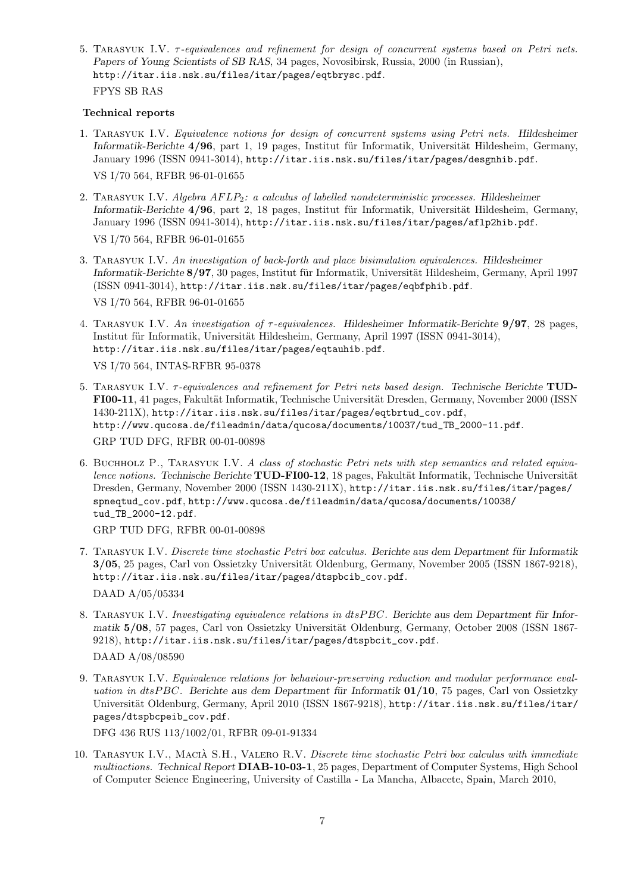5. Tarasyuk I.V. τ*-equivalences and refinement for design of concurrent systems based on Petri nets. Papers of Young Scientists of SB RAS*, 34 pages, Novosibirsk, Russia, 2000 (in Russian), http://itar.iis.nsk.su/files/itar/pages/eqtbrysc.pdf. FPYS SB RAS

#### Technical reports

- 1. Tarasyuk I.V. *Equivalence notions for design of concurrent systems using Petri nets. Hildesheimer Informatik-Berichte* 4/96, part 1, 19 pages, Institut für Informatik, Universität Hildesheim, Germany, January 1996 (ISSN 0941-3014), http://itar.iis.nsk.su/files/itar/pages/desgnhib.pdf. VS I/70 564, RFBR 96-01-01655
- 2. Tarasyuk I.V. *Algebra* AF LP2*: a calculus of labelled nondeterministic processes. Hildesheimer Informatik-Berichte* 4/96, part 2, 18 pages, Institut für Informatik, Universität Hildesheim, Germany, January 1996 (ISSN 0941-3014), http://itar.iis.nsk.su/files/itar/pages/aflp2hib.pdf. VS I/70 564, RFBR 96-01-01655
- 3. Tarasyuk I.V. *An investigation of back-forth and place bisimulation equivalences. Hildesheimer Informatik-Berichte* 8/97, 30 pages, Institut für Informatik, Universität Hildesheim, Germany, April 1997 (ISSN 0941-3014), http://itar.iis.nsk.su/files/itar/pages/eqbfphib.pdf. VS I/70 564, RFBR 96-01-01655
- 4. Tarasyuk I.V. *An investigation of* τ*-equivalences. Hildesheimer Informatik-Berichte* 9/97, 28 pages, Institut für Informatik, Universität Hildesheim, Germany, April 1997 (ISSN 0941-3014), http://itar.iis.nsk.su/files/itar/pages/eqtauhib.pdf. VS I/70 564, INTAS-RFBR 95-0378
- 5. Tarasyuk I.V. τ*-equivalences and refinement for Petri nets based design. Technische Berichte* TUD-FI00-11, 41 pages, Fakultät Informatik, Technische Universität Dresden, Germany, November 2000 (ISSN 1430-211X), http://itar.iis.nsk.su/files/itar/pages/eqtbrtud\_cov.pdf, http://www.qucosa.de/fileadmin/data/qucosa/documents/10037/tud\_TB\_2000-11.pdf. GRP TUD DFG, RFBR 00-01-00898
- 6. Buchholz P., Tarasyuk I.V. *A class of stochastic Petri nets with step semantics and related equivalence notions.* Technische Berichte TUD-FI00-12, 18 pages, Fakultät Informatik, Technische Universität Dresden, Germany, November 2000 (ISSN 1430-211X), http://itar.iis.nsk.su/files/itar/pages/ spneqtud\_cov.pdf, http://www.qucosa.de/fileadmin/data/qucosa/documents/10038/ tud\_TB\_2000-12.pdf.

GRP TUD DFG, RFBR 00-01-00898

- 7. TARASYUK I.V. *Discrete time stochastic Petri box calculus. Berichte aus dem Department für Informatik* 3/05, 25 pages, Carl von Ossietzky Universität Oldenburg, Germany, November 2005 (ISSN 1867-9218), http://itar.iis.nsk.su/files/itar/pages/dtspbcib\_cov.pdf. DAAD A/05/05334
- 8. TARASYUK I.V. *Investigating equivalence relations in dtsPBC*. Berichte aus dem Department für Infor*matik* 5/08, 57 pages, Carl von Ossietzky Universität Oldenburg, Germany, October 2008 (ISSN 1867-9218), http://itar.iis.nsk.su/files/itar/pages/dtspbcit\_cov.pdf.

DAAD A/08/08590

9. Tarasyuk I.V. *Equivalence relations for behaviour-preserving reduction and modular performance evaluation in dtsPBC*. Berichte aus dem Department für Informatik 01/10, 75 pages, Carl von Ossietzky Universität Oldenburg, Germany, April 2010 (ISSN 1867-9218), http://itar.iis.nsk.su/files/itar/ pages/dtspbcpeib\_cov.pdf.

DFG 436 RUS 113/1002/01, RFBR 09-01-91334

10. Tarasyuk I.V., Macia S.H., Valero R.V. ` *Discrete time stochastic Petri box calculus with immediate multiactions. Technical Report* DIAB-10-03-1, 25 pages, Department of Computer Systems, High School of Computer Science Engineering, University of Castilla - La Mancha, Albacete, Spain, March 2010,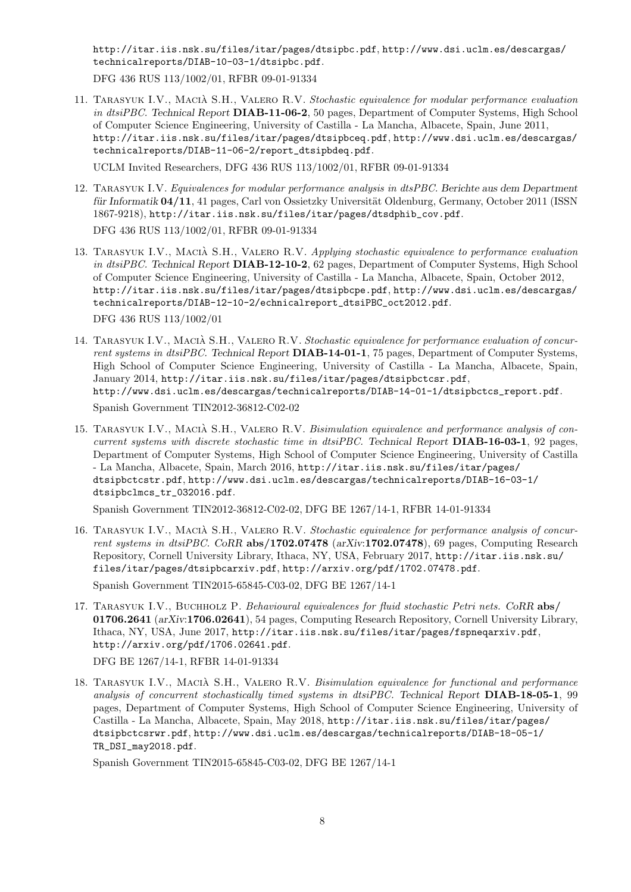http://itar.iis.nsk.su/files/itar/pages/dtsipbc.pdf, http://www.dsi.uclm.es/descargas/ technicalreports/DIAB-10-03-1/dtsipbc.pdf.

DFG 436 RUS 113/1002/01, RFBR 09-01-91334

11. Tarasyuk I.V., Macia S.H., Valero R.V. ` *Stochastic equivalence for modular performance evaluation in dtsiPBC. Technical Report* DIAB-11-06-2, 50 pages, Department of Computer Systems, High School of Computer Science Engineering, University of Castilla - La Mancha, Albacete, Spain, June 2011, http://itar.iis.nsk.su/files/itar/pages/dtsipbceq.pdf, http://www.dsi.uclm.es/descargas/ technicalreports/DIAB-11-06-2/report\_dtsipbdeq.pdf.

UCLM Invited Researchers, DFG 436 RUS 113/1002/01, RFBR 09-01-91334

- 12. Tarasyuk I.V. *Equivalences for modular performance analysis in dtsPBC. Berichte aus dem Department für Informatik* 04/11, 41 pages, Carl von Ossietzky Universität Oldenburg, Germany, October 2011 (ISSN 1867-9218), http://itar.iis.nsk.su/files/itar/pages/dtsdphib\_cov.pdf.
	- DFG 436 RUS 113/1002/01, RFBR 09-01-91334
- 13. Tarasyuk I.V., Macia S.H., Valero R.V. ` *Applying stochastic equivalence to performance evaluation in dtsiPBC. Technical Report* DIAB-12-10-2, 62 pages, Department of Computer Systems, High School of Computer Science Engineering, University of Castilla - La Mancha, Albacete, Spain, October 2012, http://itar.iis.nsk.su/files/itar/pages/dtsipbcpe.pdf, http://www.dsi.uclm.es/descargas/ technicalreports/DIAB-12-10-2/echnicalreport\_dtsiPBC\_oct2012.pdf.

DFG 436 RUS 113/1002/01

- 14. Tarasyuk I.V., Macia S.H., Valero R.V. ` *Stochastic equivalence for performance evaluation of concurrent systems in dtsiPBC. Technical Report* DIAB-14-01-1, 75 pages, Department of Computer Systems, High School of Computer Science Engineering, University of Castilla - La Mancha, Albacete, Spain, January 2014, http://itar.iis.nsk.su/files/itar/pages/dtsipbctcsr.pdf, http://www.dsi.uclm.es/descargas/technicalreports/DIAB-14-01-1/dtsipbctcs\_report.pdf. Spanish Government TIN2012-36812-C02-02
- 15. TARASYUK I.V., MACIÀ S.H., VALERO R.V. *Bisimulation equivalence and performance analysis of concurrent systems with discrete stochastic time in dtsiPBC. Technical Report* DIAB-16-03-1, 92 pages, Department of Computer Systems, High School of Computer Science Engineering, University of Castilla - La Mancha, Albacete, Spain, March 2016, http://itar.iis.nsk.su/files/itar/pages/ dtsipbctcstr.pdf, http://www.dsi.uclm.es/descargas/technicalreports/DIAB-16-03-1/ dtsipbclmcs\_tr\_032016.pdf.

Spanish Government TIN2012-36812-C02-02, DFG BE 1267/14-1, RFBR 14-01-91334

- 16. TARASYUK I.V., MACIA S.H., VALERO R.V. Stochastic equivalence for performance analysis of concur*rent systems in dtsiPBC. CoRR* abs/1702.07478 (*arXiv*:1702.07478), 69 pages, Computing Research Repository, Cornell University Library, Ithaca, NY, USA, February 2017, http://itar.iis.nsk.su/ files/itar/pages/dtsipbcarxiv.pdf, http://arxiv.org/pdf/1702.07478.pdf. Spanish Government TIN2015-65845-C03-02, DFG BE 1267/14-1
- 17. Tarasyuk I.V., Buchholz P. *Behavioural equivalences for fluid stochastic Petri nets. CoRR* abs/ 01706.2641 (*arXiv*:1706.02641), 54 pages, Computing Research Repository, Cornell University Library, Ithaca, NY, USA, June 2017, http://itar.iis.nsk.su/files/itar/pages/fspneqarxiv.pdf, http://arxiv.org/pdf/1706.02641.pdf. DFG BE 1267/14-1, RFBR 14-01-91334
- 18. Tarasyuk I.V., Macia S.H., Valero R.V. ` *Bisimulation equivalence for functional and performance analysis of concurrent stochastically timed systems in dtsiPBC. Technical Report* DIAB-18-05-1, 99 pages, Department of Computer Systems, High School of Computer Science Engineering, University of Castilla - La Mancha, Albacete, Spain, May 2018, http://itar.iis.nsk.su/files/itar/pages/ dtsipbctcsrwr.pdf, http://www.dsi.uclm.es/descargas/technicalreports/DIAB-18-05-1/ TR\_DSI\_may2018.pdf.

Spanish Government TIN2015-65845-C03-02, DFG BE 1267/14-1